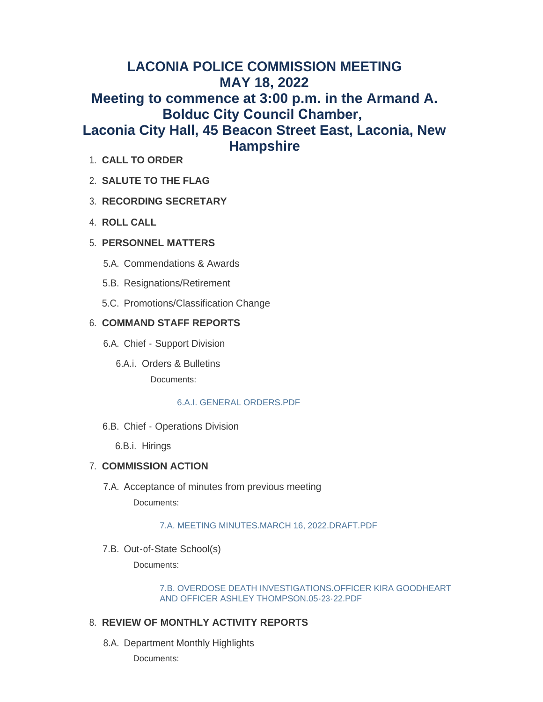# **LACONIA POLICE COMMISSION MEETING MAY 18, 2022 Meeting to commence at 3:00 p.m. in the Armand A. Bolduc City Council Chamber, Laconia City Hall, 45 Beacon Street East, Laconia, New Hampshire**

- **CALL TO ORDER** 1.
- **SALUTE TO THE FLAG** 2.

# **RECORDING SECRETARY** 3.

**ROLL CALL** 4.

## **PERSONNEL MATTERS** 5.

- 5.A. Commendations & Awards
- 5.B. Resignations/Retirement
- 5.C. Promotions/Classification Change

## **COMMAND STAFF REPORTS** 6.

- 6.A. Chief Support Division
	- 6.A.i. Orders & Bulletins Documents:

## [6.A.I. GENERAL ORDERS.PDF](https://www.laconianh.gov/AgendaCenter/ViewFile/Item/20700?fileID=43474)

6.B. Chief - Operations Division

6.B.i. Hirings

## **COMMISSION ACTION** 7.

7.A. Acceptance of minutes from previous meeting Documents:

### [7.A. MEETING MINUTES.MARCH 16, 2022.DRAFT.PDF](https://www.laconianh.gov/AgendaCenter/ViewFile/Item/20299?fileID=43305)

7.B. Out-of-State School(s)

Documents:

[7.B. OVERDOSE DEATH INVESTIGATIONS.OFFICER KIRA GOODHEART](https://www.laconianh.gov/AgendaCenter/ViewFile/Item/20300?fileID=43307)  AND OFFICER ASHLEY THOMPSON.05-23-22.PDF

## **REVIEW OF MONTHLY ACTIVITY REPORTS** 8.

8.A. Department Monthly Highlights

Documents: